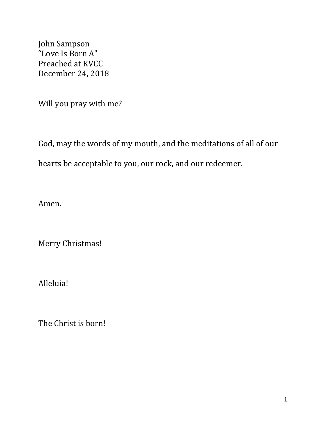John Sampson "Love Is Born A" Preached at KVCC December 24, 2018

Will you pray with me?

God, may the words of my mouth, and the meditations of all of our hearts be acceptable to you, our rock, and our redeemer.

Amen.

Merry Christmas!

Alleluia!

The Christ is born!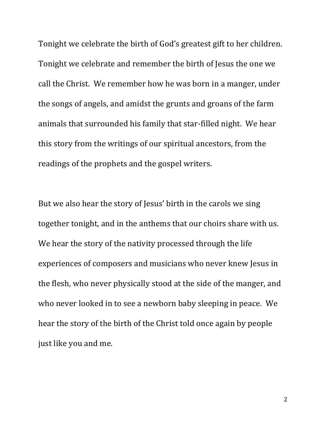Tonight we celebrate the birth of God's greatest gift to her children. Tonight we celebrate and remember the birth of Jesus the one we call the Christ. We remember how he was born in a manger, under the songs of angels, and amidst the grunts and groans of the farm animals that surrounded his family that star-filled night. We hear this story from the writings of our spiritual ancestors, from the readings of the prophets and the gospel writers.

But we also hear the story of Jesus' birth in the carols we sing together tonight, and in the anthems that our choirs share with us. We hear the story of the nativity processed through the life experiences of composers and musicians who never knew Jesus in the flesh, who never physically stood at the side of the manger, and who never looked in to see a newborn baby sleeping in peace. We hear the story of the birth of the Christ told once again by people just like you and me.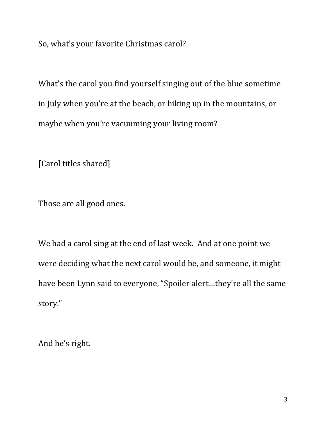So, what's your favorite Christmas carol?

What's the carol you find yourself singing out of the blue sometime in July when you're at the beach, or hiking up in the mountains, or maybe when you're vacuuming your living room?

[Carol titles shared]

Those are all good ones.

We had a carol sing at the end of last week. And at one point we were deciding what the next carol would be, and someone, it might have been Lynn said to everyone, "Spoiler alert…they're all the same story."

And he's right.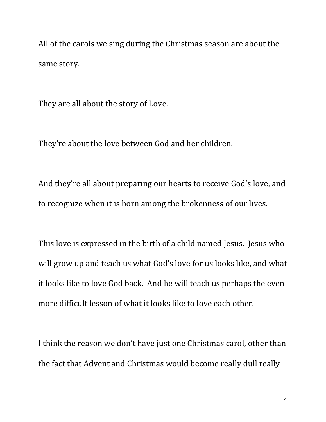All of the carols we sing during the Christmas season are about the same story.

They are all about the story of Love.

They're about the love between God and her children.

And they're all about preparing our hearts to receive God's love, and to recognize when it is born among the brokenness of our lives.

This love is expressed in the birth of a child named Jesus. Jesus who will grow up and teach us what God's love for us looks like, and what it looks like to love God back. And he will teach us perhaps the even more difficult lesson of what it looks like to love each other.

I think the reason we don't have just one Christmas carol, other than the fact that Advent and Christmas would become really dull really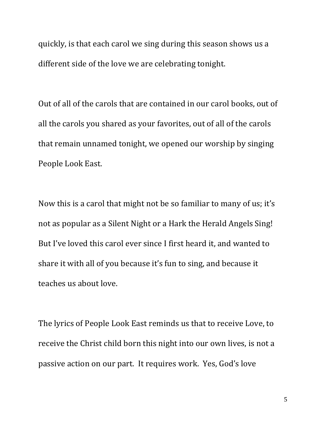quickly, is that each carol we sing during this season shows us a different side of the love we are celebrating tonight.

Out of all of the carols that are contained in our carol books, out of all the carols you shared as your favorites, out of all of the carols that remain unnamed tonight, we opened our worship by singing People Look East.

Now this is a carol that might not be so familiar to many of us; it's not as popular as a Silent Night or a Hark the Herald Angels Sing! But I've loved this carol ever since I first heard it, and wanted to share it with all of you because it's fun to sing, and because it teaches us about love.

The lyrics of People Look East reminds us that to receive Love, to receive the Christ child born this night into our own lives, is not a passive action on our part. It requires work. Yes, God's love

5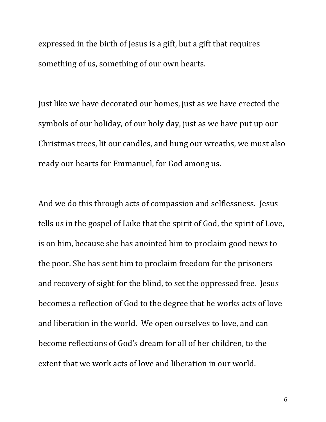expressed in the birth of Jesus is a gift, but a gift that requires something of us, something of our own hearts.

Just like we have decorated our homes, just as we have erected the symbols of our holiday, of our holy day, just as we have put up our Christmas trees, lit our candles, and hung our wreaths, we must also ready our hearts for Emmanuel, for God among us.

And we do this through acts of compassion and selflessness. Jesus tells us in the gospel of Luke that the spirit of God, the spirit of Love, is on him, because she has anointed him to proclaim good news to the poor. She has sent him to proclaim freedom for the prisoners and recovery of sight for the blind, to set the oppressed free. Jesus becomes a reflection of God to the degree that he works acts of love and liberation in the world. We open ourselves to love, and can become reflections of God's dream for all of her children, to the extent that we work acts of love and liberation in our world.

6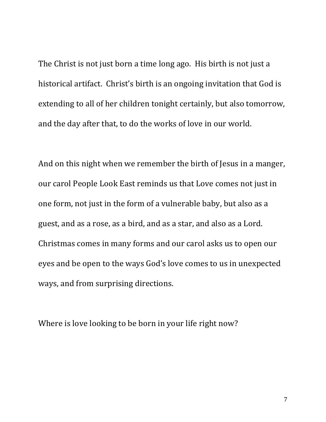The Christ is not just born a time long ago. His birth is not just a historical artifact. Christ's birth is an ongoing invitation that God is extending to all of her children tonight certainly, but also tomorrow, and the day after that, to do the works of love in our world.

And on this night when we remember the birth of Jesus in a manger, our carol People Look East reminds us that Love comes not just in one form, not just in the form of a vulnerable baby, but also as a guest, and as a rose, as a bird, and as a star, and also as a Lord. Christmas comes in many forms and our carol asks us to open our eyes and be open to the ways God's love comes to us in unexpected ways, and from surprising directions.

Where is love looking to be born in your life right now?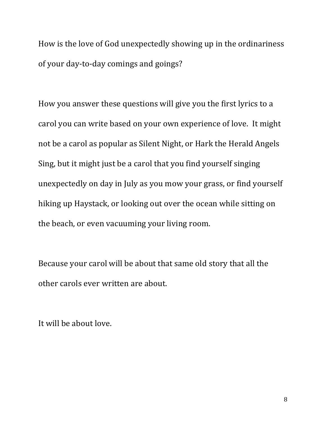How is the love of God unexpectedly showing up in the ordinariness of your day-to-day comings and goings?

How you answer these questions will give you the first lyrics to a carol you can write based on your own experience of love. It might not be a carol as popular as Silent Night, or Hark the Herald Angels Sing, but it might just be a carol that you find yourself singing unexpectedly on day in July as you mow your grass, or find yourself hiking up Haystack, or looking out over the ocean while sitting on the beach, or even vacuuming your living room.

Because your carol will be about that same old story that all the other carols ever written are about.

It will be about love.